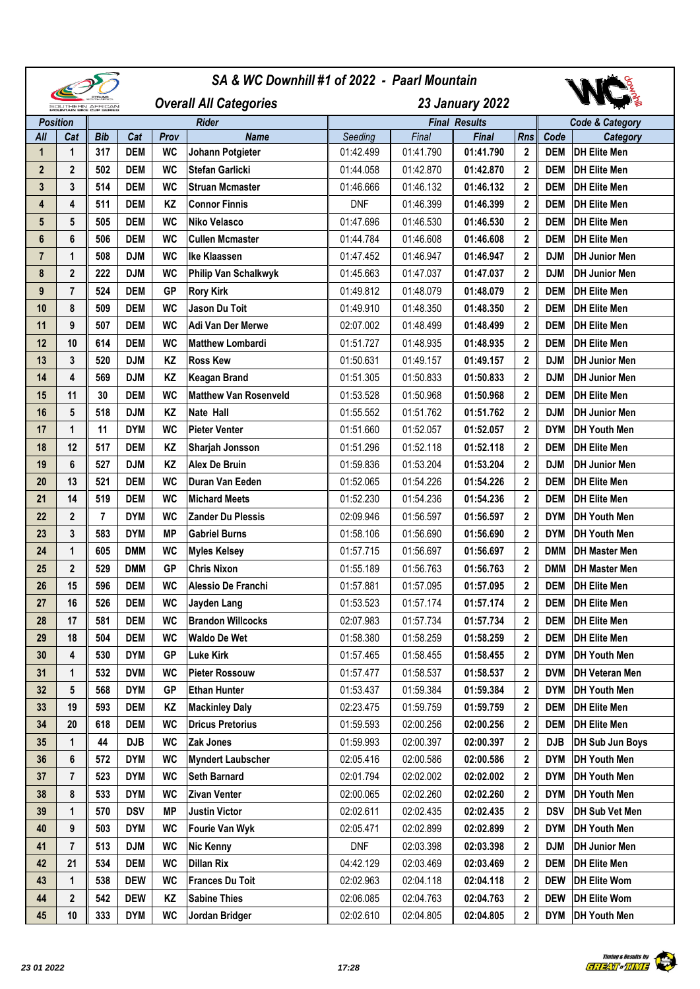|                                              |                         |            |            |           |                               |            | SA & WC Downhill #1 of 2022 - Paarl Mountain |                      |              |            |                            |  |
|----------------------------------------------|-------------------------|------------|------------|-----------|-------------------------------|------------|----------------------------------------------|----------------------|--------------|------------|----------------------------|--|
| SOUTHERN AFRICAN<br>MOUNTAIN BIKE CUP BERIEB |                         |            |            |           | <b>Overall All Categories</b> |            | <b>23 January 2022</b>                       |                      |              |            |                            |  |
| <b>Position</b>                              |                         |            |            |           | <b>Rider</b>                  |            |                                              | <b>Final Results</b> |              |            | <b>Code &amp; Category</b> |  |
| All                                          | Cat                     | <b>Bib</b> | Cat        | Prov      | <b>Name</b>                   | Seeding    | Final                                        | Final                | <b>Rns</b>   | Code       | Category                   |  |
| $\mathbf{1}$                                 | 1                       | 317        | <b>DEM</b> | <b>WC</b> | Johann Potgieter              | 01:42.499  | 01:41.790                                    | 01:41.790            | 2            | <b>DEM</b> | <b>DH Elite Men</b>        |  |
| $\mathbf{2}$                                 | $\overline{2}$          | 502        | <b>DEM</b> | <b>WC</b> | <b>Stefan Garlicki</b>        | 01:44.058  | 01:42.870                                    | 01:42.870            | $\mathbf{2}$ | <b>DEM</b> | <b>DH Elite Men</b>        |  |
| 3                                            | 3                       | 514        | <b>DEM</b> | <b>WC</b> | <b>Struan Mcmaster</b>        | 01:46.666  | 01:46.132                                    | 01:46.132            | $\mathbf{2}$ | <b>DEM</b> | <b>DH Elite Men</b>        |  |
| 4                                            | 4                       | 511        | <b>DEM</b> | KZ        | <b>Connor Finnis</b>          | <b>DNF</b> | 01:46.399                                    | 01:46.399            | $\mathbf{2}$ | <b>DEM</b> | <b>DH Elite Men</b>        |  |
| 5                                            | 5                       | 505        | <b>DEM</b> | <b>WC</b> | Niko Velasco                  | 01:47.696  | 01:46.530                                    | 01:46.530            | $\mathbf{2}$ | <b>DEM</b> | <b>DH Elite Men</b>        |  |
| 6                                            | 6                       | 506        | <b>DEM</b> | <b>WC</b> | <b>Cullen Mcmaster</b>        | 01:44.784  | 01:46.608                                    | 01:46.608            | $\mathbf{2}$ | <b>DEM</b> | <b>DH Elite Men</b>        |  |
| $\overline{7}$                               | 1                       | 508        | <b>DJM</b> | <b>WC</b> | <b>Ike Klaassen</b>           | 01:47.452  | 01:46.947                                    | 01:46.947            | $\mathbf{2}$ | <b>DJM</b> | <b>DH Junior Men</b>       |  |
| 8                                            | 2                       | 222        | <b>DJM</b> | <b>WC</b> | Philip Van Schalkwyk          | 01:45.663  | 01:47.037                                    | 01:47.037            | $\mathbf{2}$ | <b>DJM</b> | <b>DH Junior Men</b>       |  |
| 9                                            | $\overline{7}$          | 524        | <b>DEM</b> | <b>GP</b> | <b>Rory Kirk</b>              | 01:49.812  | 01:48.079                                    | 01:48.079            | $\mathbf{2}$ | <b>DEM</b> | <b>DH Elite Men</b>        |  |
| 10                                           | 8                       | 509        | <b>DEM</b> | <b>WC</b> | <b>Jason Du Toit</b>          | 01:49.910  | 01:48.350                                    | 01:48.350            | 2            | <b>DEM</b> | <b>DH Elite Men</b>        |  |
| 11                                           | 9                       | 507        | <b>DEM</b> | <b>WC</b> | Adi Van Der Merwe             | 02:07.002  | 01:48.499                                    | 01:48.499            | $\mathbf 2$  | <b>DEM</b> | <b>DH Elite Men</b>        |  |
| 12                                           | 10                      | 614        | <b>DEM</b> | <b>WC</b> | <b>Matthew Lombardi</b>       | 01:51.727  | 01:48.935                                    | 01:48.935            | $\mathbf 2$  | <b>DEM</b> | <b>DH Elite Men</b>        |  |
| 13                                           | 3                       | 520        | <b>DJM</b> | KZ        | <b>Ross Kew</b>               | 01:50.631  | 01:49.157                                    | 01:49.157            | $\mathbf 2$  | <b>DJM</b> | <b>DH Junior Men</b>       |  |
| 14                                           | 4                       | 569        | <b>DJM</b> | KZ        | <b>Keagan Brand</b>           | 01:51.305  | 01:50.833                                    | 01:50.833            | 2            | <b>DJM</b> | <b>DH Junior Men</b>       |  |
| 15                                           | 11                      | 30         | <b>DEM</b> | <b>WC</b> | <b>Matthew Van Rosenveld</b>  | 01:53.528  | 01:50.968                                    | 01:50.968            | $\mathbf{2}$ | <b>DEM</b> | <b>DH Elite Men</b>        |  |
| 16                                           | 5                       | 518        | <b>DJM</b> | KZ        | <b>Nate Hall</b>              | 01:55.552  | 01:51.762                                    | 01:51.762            | $\mathbf{2}$ | <b>DJM</b> | <b>DH Junior Men</b>       |  |
| 17                                           | 1                       | 11         | <b>DYM</b> | <b>WC</b> | <b>Pieter Venter</b>          | 01:51.660  | 01:52.057                                    | 01:52.057            | $\mathbf{2}$ | <b>DYM</b> | <b>DH Youth Men</b>        |  |
| 18                                           | 12                      | 517        | <b>DEM</b> | KZ        | Sharjah Jonsson               | 01:51.296  | 01:52.118                                    | 01:52.118            | $\mathbf{2}$ | <b>DEM</b> | <b>DH Elite Men</b>        |  |
| 19                                           | 6                       | 527        | <b>DJM</b> | KZ        | <b>Alex De Bruin</b>          | 01:59.836  | 01:53.204                                    | 01:53.204            | $\mathbf{2}$ | <b>DJM</b> | <b>DH Junior Men</b>       |  |
| 20                                           | 13                      | 521        | <b>DEM</b> | <b>WC</b> | Duran Van Eeden               | 01:52.065  | 01:54.226                                    | 01:54.226            | $\mathbf{2}$ | <b>DEM</b> | <b>DH Elite Men</b>        |  |
| 21                                           | 14                      | 519        | <b>DEM</b> | <b>WC</b> | <b>Michard Meets</b>          | 01:52.230  | 01:54.236                                    | 01:54.236            | 2            | <b>DEM</b> | <b>DH Elite Men</b>        |  |
| 22                                           | $\overline{2}$          | 7          | <b>DYM</b> | <b>WC</b> | <b>Zander Du Plessis</b>      | 02:09.946  | 01:56.597                                    | 01:56.597            | $\mathbf 2$  | <b>DYM</b> | DH Youth Men               |  |
| 23                                           | 3                       | 583        | <b>DYM</b> | <b>MP</b> | <b>Gabriel Burns</b>          | 01:58.106  | 01:56.690                                    | 01:56.690            | 2            | <b>DYM</b> | <b>DH Youth Men</b>        |  |
| 24                                           | 1                       | 605        | <b>DMM</b> | <b>WC</b> | <b>Myles Kelsey</b>           | 01:57.715  | 01:56.697                                    | 01:56.697            | $\mathbf{2}$ | <b>DMM</b> | <b>DH Master Men</b>       |  |
| 25                                           | 2                       | 529        | <b>DMM</b> | <b>GP</b> | <b>Chris Nixon</b>            | 01:55.189  | 01:56.763                                    | 01:56.763            | 2            | <b>DMM</b> | <b>DH Master Men</b>       |  |
| 26                                           | 15                      | 596        | <b>DEM</b> | <b>WC</b> | Alessio De Franchi            | 01:57.881  | 01:57.095                                    | 01:57.095            | $\mathbf{2}$ | <b>DEM</b> | <b>DH Elite Men</b>        |  |
| 27                                           | 16                      | 526        | <b>DEM</b> | <b>WC</b> | Jayden Lang                   | 01:53.523  | 01:57.174                                    | 01:57.174            | 2            | <b>DEM</b> | <b>DH Elite Men</b>        |  |
| 28                                           | 17                      | 581        | <b>DEM</b> | <b>WC</b> | <b>Brandon Willcocks</b>      | 02:07.983  | 01:57.734                                    | 01:57.734            | $\mathbf{2}$ | <b>DEM</b> | <b>DH Elite Men</b>        |  |
| 29                                           | 18                      | 504        | <b>DEM</b> | <b>WC</b> | <b>Waldo De Wet</b>           | 01:58.380  | 01:58.259                                    | 01:58.259            | 2            | DEM        | <b>DH Elite Men</b>        |  |
| 30                                           | 4                       | 530        | <b>DYM</b> | <b>GP</b> | <b>Luke Kirk</b>              | 01:57.465  | 01:58.455                                    | 01:58.455            | 2            | <b>DYM</b> | <b>DH Youth Men</b>        |  |
| 31                                           | 1                       | 532        | <b>DVM</b> | <b>WC</b> | <b>Pieter Rossouw</b>         | 01:57.477  | 01:58.537                                    | 01:58.537            | 2            | <b>DVM</b> | <b>DH Veteran Men</b>      |  |
| 32                                           | 5                       | 568        | <b>DYM</b> | <b>GP</b> | <b>Ethan Hunter</b>           | 01:53.437  | 01:59.384                                    | 01:59.384            | $\mathbf{2}$ | <b>DYM</b> | <b>DH Youth Men</b>        |  |
| 33                                           | 19                      | 593        | <b>DEM</b> | ΚZ        | <b>Mackinley Daly</b>         | 02:23.475  | 01:59.759                                    | 01:59.759            | 2            | <b>DEM</b> | <b>DH Elite Men</b>        |  |
| 34                                           | 20                      | 618        | <b>DEM</b> | WC        | <b>Dricus Pretorius</b>       | 01:59.593  | 02:00.256                                    | 02:00.256            | 2            | <b>DEM</b> | <b>DH Elite Men</b>        |  |
| 35                                           | 1                       | 44         | <b>DJB</b> | <b>WC</b> | <b>Zak Jones</b>              | 01:59.993  | 02:00.397                                    | 02:00.397            | 2            | <b>DJB</b> | DH Sub Jun Boys            |  |
| 36                                           | 6                       | 572        | <b>DYM</b> | WC        | <b>Myndert Laubscher</b>      | 02:05.416  | 02:00.586                                    | 02:00.586            | 2            | <b>DYM</b> | DH Youth Men               |  |
| 37                                           | 7                       | 523        | <b>DYM</b> | <b>WC</b> | <b>Seth Barnard</b>           | 02:01.794  | 02:02.002                                    | 02:02.002            | 2            | <b>DYM</b> | <b>DH Youth Men</b>        |  |
| 38                                           | 8                       | 533        | <b>DYM</b> | WC        | <b>Zivan Venter</b>           | 02:00.065  | 02:02.260                                    | 02:02.260            | $\mathbf{2}$ | <b>DYM</b> | DH Youth Men               |  |
| 39                                           | 1                       | 570        | <b>DSV</b> | <b>MP</b> | <b>Justin Victor</b>          | 02:02.611  | 02:02.435                                    | 02:02.435            | 2            | <b>DSV</b> | <b>DH Sub Vet Men</b>      |  |
| 40                                           | 9                       | 503        | <b>DYM</b> | <b>WC</b> | <b>Fourie Van Wyk</b>         | 02:05.471  | 02:02.899                                    | 02:02.899            | 2            | <b>DYM</b> | DH Youth Men               |  |
| 41                                           | $\overline{\mathbf{r}}$ | 513        | <b>DJM</b> | <b>WC</b> | <b>Nic Kenny</b>              | <b>DNF</b> | 02:03.398                                    | 02:03.398            | 2            | <b>DJM</b> | <b>DH Junior Men</b>       |  |
| 42                                           | 21                      | 534        | <b>DEM</b> | <b>WC</b> | <b>Dillan Rix</b>             | 04:42.129  | 02:03.469                                    | 02:03.469            | 2            | <b>DEM</b> | <b>DH Elite Men</b>        |  |
| 43                                           | 1                       | 538        | <b>DEW</b> | WC        | <b>Frances Du Toit</b>        | 02:02.963  | 02:04.118                                    | 02:04.118            | 2            | <b>DEW</b> | DH Elite Wom               |  |
| 44                                           | 2                       | 542        | <b>DEW</b> | ΚZ        | <b>Sabine Thies</b>           | 02:06.085  | 02:04.763                                    | 02:04.763            | 2            | DEW        | DH Elite Wom               |  |
| 45                                           | 10                      | 333        | <b>DYM</b> | WC        | Jordan Bridger                | 02:02.610  | 02:04.805                                    | 02:04.805            | $\mathbf 2$  | <b>DYM</b> | <b>DH Youth Men</b>        |  |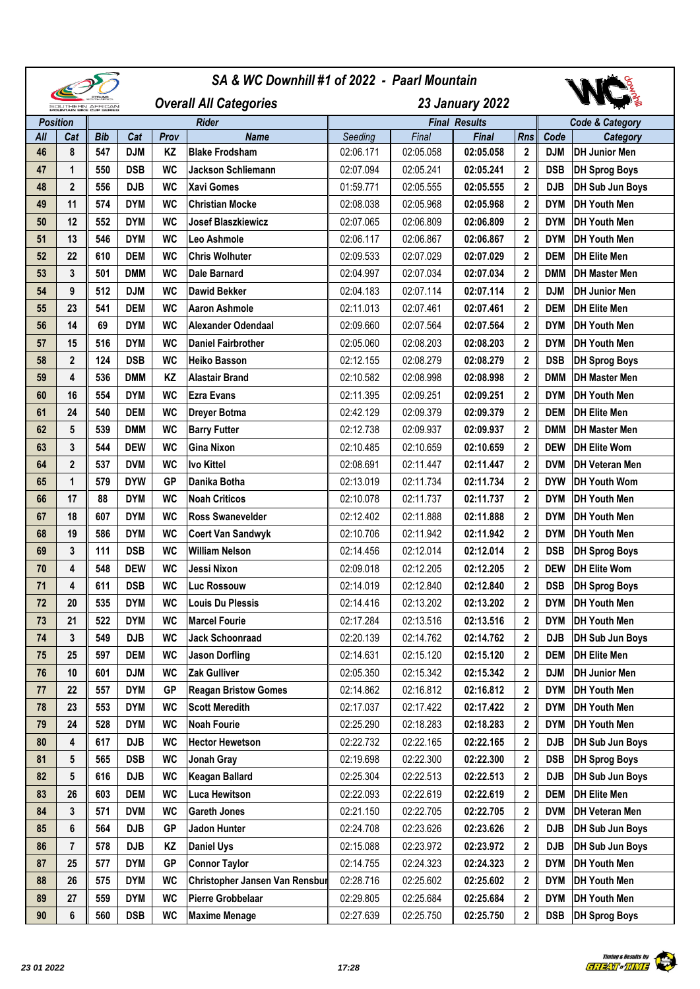|                                              |                |            |            |           | SA & WC Downhill #1 of 2022 - Paarl Mountain |                        |           |                      |                  |            |                            |  |
|----------------------------------------------|----------------|------------|------------|-----------|----------------------------------------------|------------------------|-----------|----------------------|------------------|------------|----------------------------|--|
| SOUTHERN AFRICAN<br>MOUNTAIN BIKE CUP BERIEB |                |            |            |           | <b>Overall All Categories</b>                | <b>23 January 2022</b> |           |                      |                  |            |                            |  |
| <b>Position</b>                              |                |            |            |           | <b>Rider</b>                                 |                        |           | <b>Final Results</b> |                  |            | <b>Code &amp; Category</b> |  |
| All                                          | Cat            | <b>Bib</b> | Cat        | Prov      | <b>Name</b>                                  | Seeding                | Final     | Final                | <b>Rns</b>       | Code       | <b>Category</b>            |  |
| 46                                           | 8              | 547        | <b>DJM</b> | KZ        | <b>Blake Frodsham</b>                        | 02:06.171              | 02:05.058 | 02:05.058            | $\boldsymbol{2}$ | <b>DJM</b> | <b>DH Junior Men</b>       |  |
| 47                                           | $\mathbf{1}$   | 550        | <b>DSB</b> | <b>WC</b> | <b>Jackson Schliemann</b>                    | 02:07.094              | 02:05.241 | 02:05.241            | $\mathbf{2}$     | <b>DSB</b> | <b>DH Sprog Boys</b>       |  |
| 48                                           | $\mathbf{2}$   | 556        | <b>DJB</b> | <b>WC</b> | <b>Xavi Gomes</b>                            | 01:59.771              | 02:05.555 | 02:05.555            | $\mathbf{2}$     | <b>DJB</b> | DH Sub Jun Boys            |  |
| 49                                           | 11             | 574        | <b>DYM</b> | <b>WC</b> | <b>Christian Mocke</b>                       | 02:08.038              | 02:05.968 | 02:05.968            | 2                | <b>DYM</b> | <b>DH Youth Men</b>        |  |
| 50                                           | 12             | 552        | <b>DYM</b> | <b>WC</b> | <b>Josef Blaszkiewicz</b>                    | 02:07.065              | 02:06.809 | 02:06.809            | 2                | <b>DYM</b> | <b>DH Youth Men</b>        |  |
| 51                                           | 13             | 546        | <b>DYM</b> | <b>WC</b> | <b>Leo Ashmole</b>                           | 02:06.117              | 02:06.867 | 02:06.867            | 2                | <b>DYM</b> | <b>DH Youth Men</b>        |  |
| 52                                           | 22             | 610        | <b>DEM</b> | <b>WC</b> | <b>Chris Wolhuter</b>                        | 02:09.533              | 02:07.029 | 02:07.029            | $\mathbf{2}$     | <b>DEM</b> | <b>DH Elite Men</b>        |  |
| 53                                           | 3              | 501        | <b>DMM</b> | <b>WC</b> | <b>Dale Barnard</b>                          | 02:04.997              | 02:07.034 | 02:07.034            | 2                | <b>DMM</b> | <b>DH Master Men</b>       |  |
| 54                                           | 9              | 512        | <b>DJM</b> | <b>WC</b> | <b>Dawid Bekker</b>                          | 02:04.183              | 02:07.114 | 02:07.114            | $\mathbf{2}$     | <b>DJM</b> | <b>DH Junior Men</b>       |  |
| 55                                           | 23             | 541        | <b>DEM</b> | <b>WC</b> | <b>Aaron Ashmole</b>                         | 02:11.013              | 02:07.461 | 02:07.461            | $\mathbf 2$      | <b>DEM</b> | <b>DH Elite Men</b>        |  |
| 56                                           | 14             | 69         | <b>DYM</b> | <b>WC</b> | Alexander Odendaal                           | 02:09.660              | 02:07.564 | 02:07.564            | $\mathbf{2}$     | <b>DYM</b> | <b>DH Youth Men</b>        |  |
| 57                                           | 15             | 516        | <b>DYM</b> | <b>WC</b> | <b>Daniel Fairbrother</b>                    | 02:05.060              | 02:08.203 | 02:08.203            | $\mathbf{2}$     | <b>DYM</b> | <b>DH Youth Men</b>        |  |
| 58                                           | $\overline{2}$ | 124        | <b>DSB</b> | <b>WC</b> | <b>Heiko Basson</b>                          | 02:12.155              | 02:08.279 | 02:08.279            | $\mathbf{2}$     | <b>DSB</b> | <b>DH Sprog Boys</b>       |  |
| 59                                           | 4              | 536        | <b>DMM</b> | KZ        | <b>Alastair Brand</b>                        | 02:10.582              | 02:08.998 | 02:08.998            | $\mathbf 2$      | <b>DMM</b> | <b>DH Master Men</b>       |  |
| 60                                           | 16             | 554        | <b>DYM</b> | <b>WC</b> | <b>Ezra Evans</b>                            | 02:11.395              | 02:09.251 | 02:09.251            | $\mathbf{2}$     | <b>DYM</b> | <b>DH Youth Men</b>        |  |
| 61                                           | 24             | 540        | <b>DEM</b> | <b>WC</b> | <b>Dreyer Botma</b>                          | 02:42.129              | 02:09.379 | 02:09.379            | $\boldsymbol{2}$ | <b>DEM</b> | <b>DH Elite Men</b>        |  |
| 62                                           | 5              | 539        | <b>DMM</b> | <b>WC</b> | <b>Barry Futter</b>                          | 02:12.738              | 02:09.937 | 02:09.937            | $\mathbf{2}$     | <b>DMM</b> | <b>DH Master Men</b>       |  |
| 63                                           | 3              | 544        | <b>DEW</b> | <b>WC</b> | <b>Gina Nixon</b>                            | 02:10.485              | 02:10.659 | 02:10.659            | $\mathbf 2$      | <b>DEW</b> | <b>DH Elite Wom</b>        |  |
| 64                                           | 2              | 537        | <b>DVM</b> | <b>WC</b> | Ivo Kittel                                   | 02:08.691              | 02:11.447 | 02:11.447            | $\mathbf{2}$     | <b>DVM</b> | <b>DH Veteran Men</b>      |  |
| 65                                           | $\mathbf{1}$   | 579        | <b>DYW</b> | <b>GP</b> | Danika Botha                                 | 02:13.019              | 02:11.734 | 02:11.734            | $\mathbf 2$      | <b>DYW</b> | <b>DH Youth Wom</b>        |  |
| 66                                           | 17             | 88         | <b>DYM</b> | <b>WC</b> | <b>Noah Criticos</b>                         | 02:10.078              | 02:11.737 | 02:11.737            | $\mathbf 2$      | <b>DYM</b> | <b>DH Youth Men</b>        |  |
| 67                                           | 18             | 607        | <b>DYM</b> | <b>WC</b> | <b>Ross Swanevelder</b>                      | 02:12.402              | 02:11.888 | 02:11.888            | $\boldsymbol{2}$ | <b>DYM</b> | <b>DH Youth Men</b>        |  |
| 68                                           | 19             | 586        | <b>DYM</b> | <b>WC</b> | <b>Coert Van Sandwyk</b>                     | 02:10.706              | 02:11.942 | 02:11.942            | $\mathbf 2$      | <b>DYM</b> | <b>DH Youth Men</b>        |  |
| 69                                           | 3              | 111        | <b>DSB</b> | <b>WC</b> | <b>William Nelson</b>                        | 02:14.456              | 02:12.014 | 02:12.014            | $\mathbf{2}$     | <b>DSB</b> | <b>DH Sprog Boys</b>       |  |
| 70                                           | 4              | 548        | <b>DEW</b> | <b>WC</b> | Jessi Nixon                                  | 02:09.018              | 02:12.205 | 02:12.205            | $\mathbf{2}$     | <b>DEW</b> | <b>DH Elite Wom</b>        |  |
| 71                                           | 4              | 611        | <b>DSB</b> | <b>WC</b> | <b>Luc Rossouw</b>                           | 02:14.019              | 02:12.840 | 02:12.840            | $\mathbf 2$      | <b>DSB</b> | <b>DH Sprog Boys</b>       |  |
| 72                                           | 20             | 535        | <b>DYM</b> | WC        | <b>Louis Du Plessis</b>                      | 02:14.416              | 02:13.202 | 02:13.202            | 2                | <b>DYM</b> | <b>DH Youth Men</b>        |  |
| 73                                           | 21             | 522        | <b>DYM</b> | <b>WC</b> | <b>Marcel Fourie</b>                         | 02:17.284              | 02:13.516 | 02:13.516            | $\mathbf{2}$     | <b>DYM</b> | <b>DH Youth Men</b>        |  |
| 74                                           | 3              | 549        | <b>DJB</b> | WC        | <b>Jack Schoonraad</b>                       | 02:20.139              | 02:14.762 | 02:14.762            | $\mathbf{2}$     | <b>DJB</b> | DH Sub Jun Boys            |  |
| 75                                           | 25             | 597        | <b>DEM</b> | WC        | <b>Jason Dorfling</b>                        | 02:14.631              | 02:15.120 | 02:15.120            | $\mathbf{2}$     | <b>DEM</b> | <b>DH Elite Men</b>        |  |
| 76                                           | 10             | 601        | <b>DJM</b> | <b>WC</b> | <b>Zak Gulliver</b>                          | 02:05.350              | 02:15.342 | 02:15.342            | $\mathbf{2}$     | <b>DJM</b> | <b>DH Junior Men</b>       |  |
| 77                                           | 22             | 557        | <b>DYM</b> | <b>GP</b> | <b>Reagan Bristow Gomes</b>                  | 02:14.862              | 02:16.812 | 02:16.812            | 2                | <b>DYM</b> | <b>DH Youth Men</b>        |  |
| 78                                           | 23             | 553        | <b>DYM</b> | WC        | <b>Scott Meredith</b>                        | 02:17.037              | 02:17.422 | 02:17.422            | 2                | <b>DYM</b> | <b>DH Youth Men</b>        |  |
| 79                                           | 24             | 528        | <b>DYM</b> | <b>WC</b> | <b>Noah Fourie</b>                           | 02:25.290              | 02:18.283 | 02:18.283            | 2                | <b>DYM</b> | <b>DH Youth Men</b>        |  |
| 80                                           | 4              | 617        | <b>DJB</b> | WC        | <b>Hector Hewetson</b>                       | 02:22.732              | 02:22.165 | 02:22.165            | $\boldsymbol{2}$ | <b>DJB</b> | DH Sub Jun Boys            |  |
| 81                                           | 5              | 565        | <b>DSB</b> | WC        | Jonah Gray                                   | 02:19.698              | 02:22.300 | 02:22.300            | 2                | <b>DSB</b> | <b>DH Sprog Boys</b>       |  |
| 82                                           | 5              | 616        | <b>DJB</b> | WC        | <b>Keagan Ballard</b>                        | 02:25.304              | 02:22.513 | 02:22.513            | 2                | <b>DJB</b> | DH Sub Jun Boys            |  |
| 83                                           | 26             | 603        | <b>DEM</b> | WC        | Luca Hewitson                                | 02:22.093              | 02:22.619 | 02:22.619            | 2                | <b>DEM</b> | <b>DH Elite Men</b>        |  |
| 84                                           | 3              | 571        | <b>DVM</b> | <b>WC</b> | <b>Gareth Jones</b>                          | 02:21.150              | 02:22.705 | 02:22.705            | $\mathbf 2$      | <b>DVM</b> | <b>DH Veteran Men</b>      |  |
| 85                                           | 6              | 564        | <b>DJB</b> | <b>GP</b> | Jadon Hunter                                 | 02:24.708              | 02:23.626 | 02:23.626            | $\mathbf 2$      | <b>DJB</b> | DH Sub Jun Boys            |  |
| 86                                           | 7              | 578        | <b>DJB</b> | KZ        | <b>Daniel Uys</b>                            | 02:15.088              | 02:23.972 | 02:23.972            | $\mathbf 2$      | <b>DJB</b> | DH Sub Jun Boys            |  |
| 87                                           | 25             | 577        | <b>DYM</b> | <b>GP</b> | <b>Connor Taylor</b>                         | 02:14.755              | 02:24.323 | 02:24.323            | 2                | <b>DYM</b> | <b>DH Youth Men</b>        |  |
| 88                                           | 26             | 575        | <b>DYM</b> | WC        | Christopher Jansen Van Rensbur               | 02:28.716              | 02:25.602 | 02:25.602            | 2                | <b>DYM</b> | <b>DH Youth Men</b>        |  |
| 89                                           | 27             | 559        | <b>DYM</b> | <b>WC</b> | Pierre Grobbelaar                            | 02:29.805              | 02:25.684 | 02:25.684            | 2                | <b>DYM</b> | <b>DH Youth Men</b>        |  |
| 90                                           | 6              | 560        | <b>DSB</b> | WC        | <b>Maxime Menage</b>                         | 02:27.639              | 02:25.750 | 02:25.750            | $\mathbf{2}$     | <b>DSB</b> | <b>DH Sprog Boys</b>       |  |